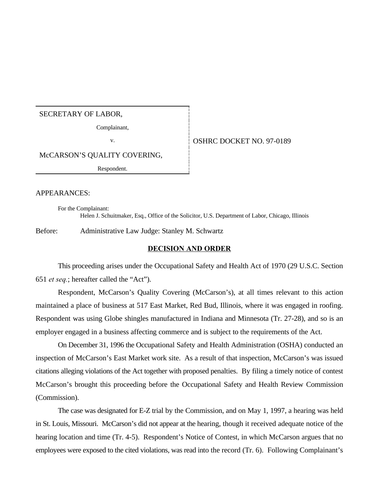## SECRETARY OF LABOR,

Complainant,

#### v. 6 0SHRC DOCKET NO. 97-0189

McCARSON'S QUALITY COVERING,

Respondent.

#### APPEARANCES:

For the Complainant: Helen J. Schuitmaker, Esq., Office of the Solicitor, U.S. Department of Labor, Chicago, Illinois

Before: Administrative Law Judge: Stanley M. Schwartz

#### **DECISION AND ORDER**

This proceeding arises under the Occupational Safety and Health Act of 1970 (29 U.S.C. Section 651 *et seq.*; hereafter called the "Act").

Respondent, McCarson's Quality Covering (McCarson's), at all times relevant to this action maintained a place of business at 517 East Market, Red Bud, Illinois, where it was engaged in roofing. Respondent was using Globe shingles manufactured in Indiana and Minnesota (Tr. 27-28), and so is an employer engaged in a business affecting commerce and is subject to the requirements of the Act.

On December 31, 1996 the Occupational Safety and Health Administration (OSHA) conducted an inspection of McCarson's East Market work site. As a result of that inspection, McCarson's was issued citations alleging violations of the Act together with proposed penalties. By filing a timely notice of contest McCarson's brought this proceeding before the Occupational Safety and Health Review Commission (Commission).

The case was designated for E-Z trial by the Commission, and on May 1, 1997, a hearing was held in St. Louis, Missouri. McCarson's did not appear at the hearing, though it received adequate notice of the hearing location and time (Tr. 4-5). Respondent's Notice of Contest, in which McCarson argues that no employees were exposed to the cited violations, was read into the record (Tr. 6). Following Complainant's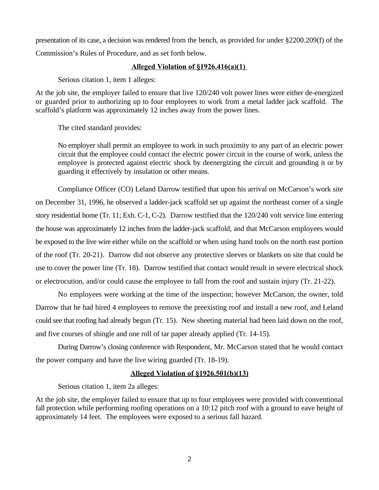presentation of its case, a decision was rendered from the bench, as provided for under §2200.209(f) of the Commission's Rules of Procedure, and as set forth below.

## **Alleged Violation of §1926.416(a)(1)**

Serious citation 1, item 1 alleges:

At the job site, the employer failed to ensure that live 120/240 volt power lines were either de-energized or guarded prior to authorizing up to four employees to work from a metal ladder jack scaffold. The scaffold's platform was approximately 12 inches away from the power lines.

The cited standard provides:

No employer shall permit an employee to work in such proximity to any part of an electric power circuit that the employee could contact the electric power circuit in the course of work, unless the employee is protected against electric shock by deenergizing the circuit and grounding it or by guarding it effectively by insulation or other means.

Compliance Officer (CO) Leland Darrow testified that upon his arrival on McCarson's work site on December 31, 1996, he observed a ladder-jack scaffold set up against the northeast corner of a single story residential home (Tr. 11; Exh. C-1, C-2). Darrow testified that the 120/240 volt service line entering the house was approximately 12 inches from the ladder-jack scaffold, and that McCarson employees would be exposed to the live wire either while on the scaffold or when using hand tools on the north east portion of the roof (Tr. 20-21). Darrow did not observe any protective sleeves or blankets on site that could be use to cover the power line (Tr. 18). Darrow testified that contact would result in severe electrical shock or electrocution, and/or could cause the employee to fall from the roof and sustain injury (Tr. 21-22).

No employees were working at the time of the inspection; however McCarson, the owner, told Darrow that he had hired 4 employees to remove the preexisting roof and install a new roof, and Leland could see that roofing had already begun (Tr. 15). New sheeting material had been laid down on the roof, and five courses of shingle and one roll of tar paper already applied (Tr. 14-15).

During Darrow's closing conference with Respondent, Mr. McCarson stated that he would contact the power company and have the live wiring guarded (Tr. 18-19).

#### **Alleged Violation of §1926.501(b)(13)**

Serious citation 1, item 2a alleges:

At the job site, the employer failed to ensure that up to four employees were provided with conventional fall protection while performing roofing operations on a 10:12 pitch roof with a ground to eave height of approximately 14 feet. The employees were exposed to a serious fall hazard.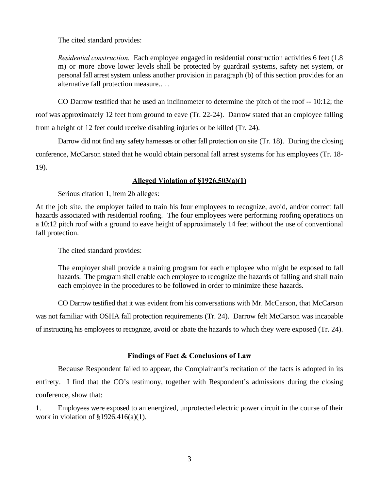The cited standard provides:

*Residential construction.* Each employee engaged in residential construction activities 6 feet (1.8 m) or more above lower levels shall be protected by guardrail systems, safety net system, or personal fall arrest system unless another provision in paragraph (b) of this section provides for an alternative fall protection measure.. . .

CO Darrow testified that he used an inclinometer to determine the pitch of the roof -- 10:12; the roof was approximately 12 feet from ground to eave (Tr. 22-24). Darrow stated that an employee falling from a height of 12 feet could receive disabling injuries or be killed (Tr. 24).

Darrow did not find any safety harnesses or other fall protection on site (Tr. 18). During the closing conference, McCarson stated that he would obtain personal fall arrest systems for his employees (Tr. 18- 19).

## **Alleged Violation of §1926.503(a)(1)**

Serious citation 1, item 2b alleges:

At the job site, the employer failed to train his four employees to recognize, avoid, and/or correct fall hazards associated with residential roofing. The four employees were performing roofing operations on a 10:12 pitch roof with a ground to eave height of approximately 14 feet without the use of conventional fall protection.

The cited standard provides:

The employer shall provide a training program for each employee who might be exposed to fall hazards. The program shall enable each employee to recognize the hazards of falling and shall train each employee in the procedures to be followed in order to minimize these hazards.

CO Darrow testified that it was evident from his conversations with Mr. McCarson, that McCarson was not familiar with OSHA fall protection requirements (Tr. 24). Darrow felt McCarson was incapable of instructing his employees to recognize, avoid or abate the hazards to which they were exposed (Tr. 24).

# **Findings of Fact & Conclusions of Law**

Because Respondent failed to appear, the Complainant's recitation of the facts is adopted in its entirety. I find that the CO's testimony, together with Respondent's admissions during the closing conference, show that:

1. Employees were exposed to an energized, unprotected electric power circuit in the course of their work in violation of  $\S 1926.416(a)(1)$ .